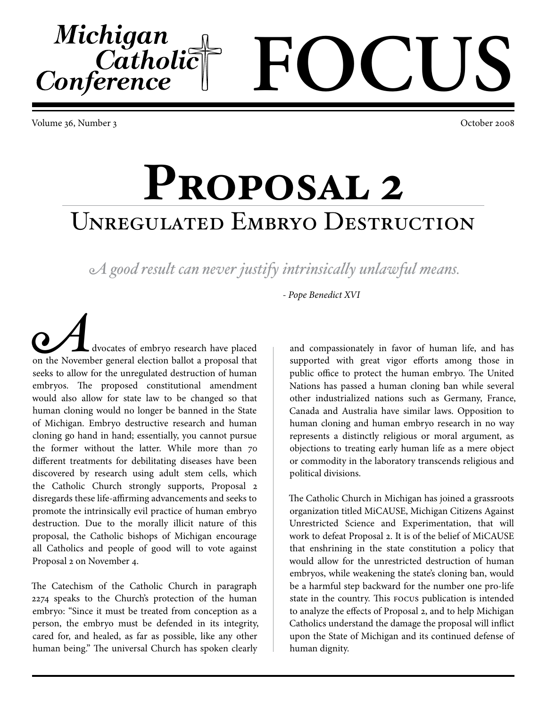Volume 36, Number 3 October 2008

Michigan

Catholic<br>Conference

## **Proposal 2** Unregulated Embryo Destruction

*A good result can never justify intrinsically unlawful means.*

*- Pope Benedict XVI*

**Advocates of embryo research have placed** on the November general election ballot a proposal that seeks to allow for the unregulated destruction of human embryos. The proposed constitutional amendment would also allow for state law to be changed so that human cloning would no longer be banned in the State of Michigan. Embryo destructive research and human cloning go hand in hand; essentially, you cannot pursue the former without the latter. While more than 70 different treatments for debilitating diseases have been discovered by research using adult stem cells, which the Catholic Church strongly supports, Proposal 2 disregards these life-affirming advancements and seeks to promote the intrinsically evil practice of human embryo destruction. Due to the morally illicit nature of this proposal, the Catholic bishops of Michigan encourage all Catholics and people of good will to vote against Proposal 2 on November 4.

The Catechism of the Catholic Church in paragraph 2274 speaks to the Church's protection of the human embryo: "Since it must be treated from conception as a person, the embryo must be defended in its integrity, cared for, and healed, as far as possible, like any other human being." The universal Church has spoken clearly

and compassionately in favor of human life, and has supported with great vigor efforts among those in public office to protect the human embryo. The United Nations has passed a human cloning ban while several other industrialized nations such as Germany, France, Canada and Australia have similar laws. Opposition to human cloning and human embryo research in no way represents a distinctly religious or moral argument, as objections to treating early human life as a mere object or commodity in the laboratory transcends religious and political divisions.

**FOCUS**

The Catholic Church in Michigan has joined a grassroots organization titled MiCAUSE, Michigan Citizens Against Unrestricted Science and Experimentation, that will work to defeat Proposal 2. It is of the belief of MiCAUSE that enshrining in the state constitution a policy that would allow for the unrestricted destruction of human embryos, while weakening the state's cloning ban, would be a harmful step backward for the number one pro-life state in the country. This FOCUS publication is intended to analyze the effects of Proposal 2, and to help Michigan Catholics understand the damage the proposal will inflict upon the State of Michigan and its continued defense of human dignity.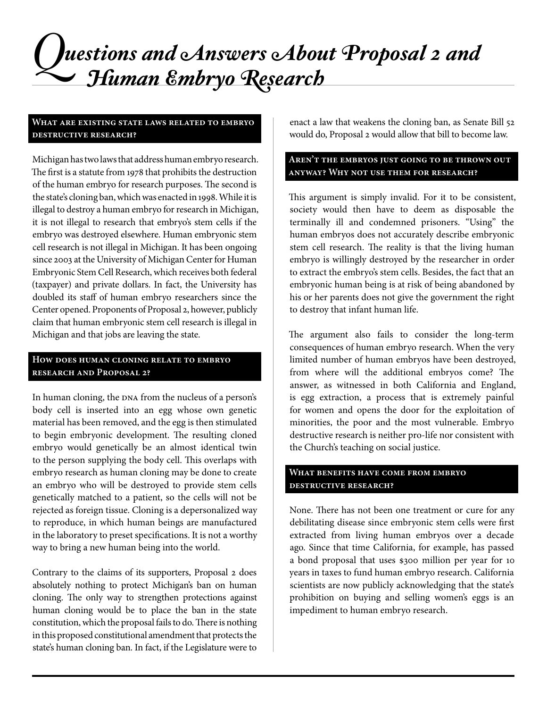## *Questions and Answers About Proposal 2 and Human Embryo Research*

#### **What are existing state laws related to embryo destructive research?**

Michigan has two laws that address human embryo research. The first is a statute from 1978 that prohibits the destruction of the human embryo for research purposes. The second is the state's cloning ban, which was enacted in 1998. While it is illegal to destroy a human embryo for research in Michigan, it is not illegal to research that embryo's stem cells if the embryo was destroyed elsewhere. Human embryonic stem cell research is not illegal in Michigan. It has been ongoing since 2003 at the University of Michigan Center for Human Embryonic Stem Cell Research, which receives both federal (taxpayer) and private dollars. In fact, the University has doubled its staff of human embryo researchers since the Center opened. Proponents of Proposal 2, however, publicly claim that human embryonic stem cell research is illegal in Michigan and that jobs are leaving the state.

#### **How does human cloning relate to embryo research and Proposal 2?**

In human cloning, the DNA from the nucleus of a person's body cell is inserted into an egg whose own genetic material has been removed, and the egg is then stimulated to begin embryonic development. The resulting cloned embryo would genetically be an almost identical twin to the person supplying the body cell. This overlaps with embryo research as human cloning may be done to create an embryo who will be destroyed to provide stem cells genetically matched to a patient, so the cells will not be rejected as foreign tissue. Cloning is a depersonalized way to reproduce, in which human beings are manufactured in the laboratory to preset specifications. It is not a worthy way to bring a new human being into the world.

Contrary to the claims of its supporters, Proposal 2 does absolutely nothing to protect Michigan's ban on human cloning. The only way to strengthen protections against human cloning would be to place the ban in the state constitution, which the proposal fails to do. There is nothing in this proposed constitutional amendment that protects the state's human cloning ban. In fact, if the Legislature were to

enact a law that weakens the cloning ban, as Senate Bill 52 would do, Proposal 2 would allow that bill to become law.

#### **Aren't the embryos just going to be thrown out anyway? Why not use them for research?**

This argument is simply invalid. For it to be consistent, society would then have to deem as disposable the terminally ill and condemned prisoners. "Using" the human embryos does not accurately describe embryonic stem cell research. The reality is that the living human embryo is willingly destroyed by the researcher in order to extract the embryo's stem cells. Besides, the fact that an embryonic human being is at risk of being abandoned by his or her parents does not give the government the right to destroy that infant human life.

The argument also fails to consider the long-term consequences of human embryo research. When the very limited number of human embryos have been destroyed, from where will the additional embryos come? The answer, as witnessed in both California and England, is egg extraction, a process that is extremely painful for women and opens the door for the exploitation of minorities, the poor and the most vulnerable. Embryo destructive research is neither pro-life nor consistent with the Church's teaching on social justice.

#### **What benefits have come from embryo destructive research?**

None. There has not been one treatment or cure for any debilitating disease since embryonic stem cells were first extracted from living human embryos over a decade ago. Since that time California, for example, has passed a bond proposal that uses \$300 million per year for 10 years in taxes to fund human embryo research. California scientists are now publicly acknowledging that the state's prohibition on buying and selling women's eggs is an impediment to human embryo research.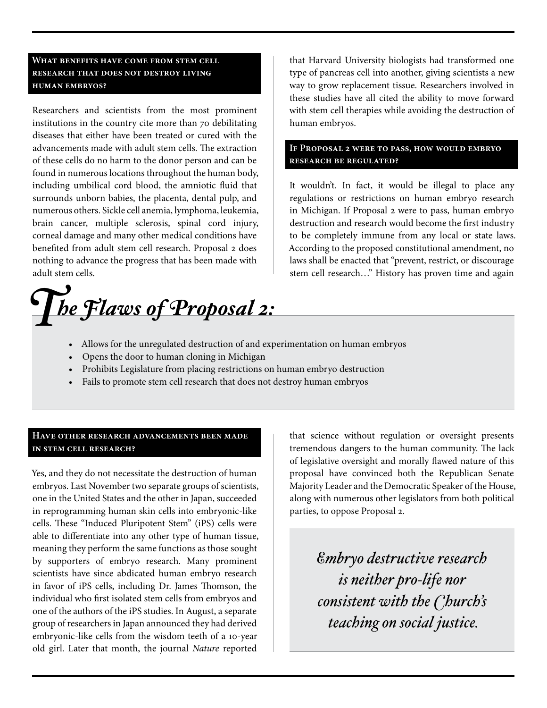#### **What benefits have come from stem cell research that does not destroy living human embryos?**

Researchers and scientists from the most prominent institutions in the country cite more than 70 debilitating diseases that either have been treated or cured with the advancements made with adult stem cells. The extraction of these cells do no harm to the donor person and can be found in numerous locations throughout the human body, including umbilical cord blood, the amniotic fluid that surrounds unborn babies, the placenta, dental pulp, and numerous others. Sickle cell anemia, lymphoma, leukemia, brain cancer, multiple sclerosis, spinal cord injury, corneal damage and many other medical conditions have benefited from adult stem cell research. Proposal 2 does nothing to advance the progress that has been made with adult stem cells.

*The Flaws of Proposal 2:*

that Harvard University biologists had transformed one type of pancreas cell into another, giving scientists a new way to grow replacement tissue. Researchers involved in these studies have all cited the ability to move forward with stem cell therapies while avoiding the destruction of human embryos.

#### **If Proposal 2 were to pass, how would embryo research be regulated?**

It wouldn't. In fact, it would be illegal to place any regulations or restrictions on human embryo research in Michigan. If Proposal 2 were to pass, human embryo destruction and research would become the first industry to be completely immune from any local or state laws. According to the proposed constitutional amendment, no laws shall be enacted that "prevent, restrict, or discourage stem cell research…" History has proven time and again

- • Allows for the unregulated destruction of and experimentation on human embryos
- Opens the door to human cloning in Michigan
- Prohibits Legislature from placing restrictions on human embryo destruction
- • Fails to promote stem cell research that does not destroy human embryos

#### **Have other research advancements been made in stem cell research?**

Yes, and they do not necessitate the destruction of human embryos. Last November two separate groups of scientists, one in the United States and the other in Japan, succeeded in reprogramming human skin cells into embryonic-like cells. These "Induced Pluripotent Stem" (iPS) cells were able to differentiate into any other type of human tissue, meaning they perform the same functions as those sought by supporters of embryo research. Many prominent scientists have since abdicated human embryo research in favor of iPS cells, including Dr. James Thomson, the individual who first isolated stem cells from embryos and one of the authors of the iPS studies. In August, a separate group of researchers in Japan announced they had derived embryonic-like cells from the wisdom teeth of a 10-year old girl. Later that month, the journal *Nature* reported

that science without regulation or oversight presents tremendous dangers to the human community. The lack of legislative oversight and morally flawed nature of this proposal have convinced both the Republican Senate Majority Leader and the Democratic Speaker of the House, along with numerous other legislators from both political parties, to oppose Proposal 2.

> *Embryo destructive research is neither pro-life nor consistent with the Church's teaching on social justice.*